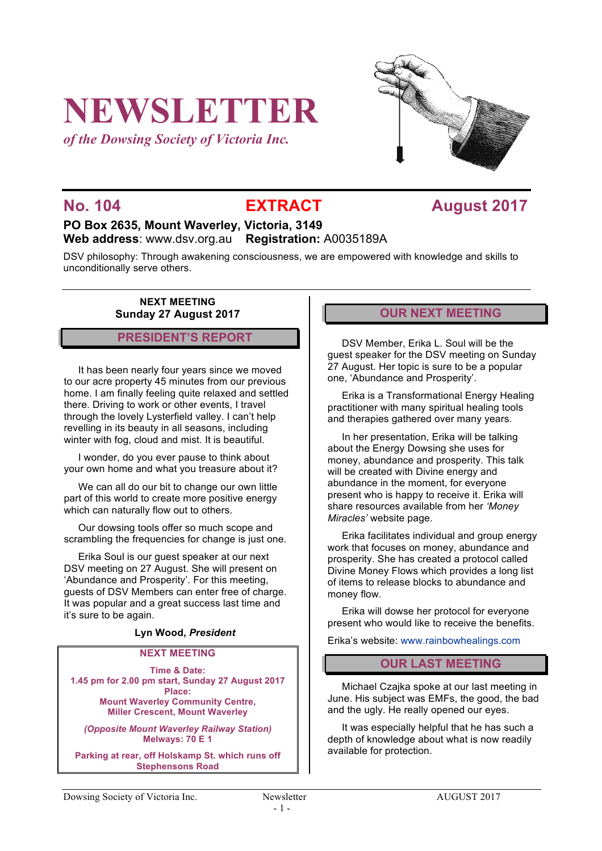# **NEWSLETTER**

*of the Dowsing Society of Victoria Inc.*



## **No. 104 EXTRACT August** 2017

### **PO Box 2635, Mount Waverley, Victoria, 3149 Web address**: www.dsv.org.au **Registration:** A0035189A

DSV philosophy: Through awakening consciousness, we are empowered with knowledge and skills to unconditionally serve others.

> **NEXT MEETING Sunday 27 August 2017**

### **PRESIDENT'S REPORT**

It has been nearly four years since we moved to our acre property 45 minutes from our previous home. I am finally feeling quite relaxed and settled there. Driving to work or other events, I travel through the lovely Lysterfield valley. I can't help revelling in its beauty in all seasons, including winter with fog, cloud and mist. It is beautiful.

I wonder, do you ever pause to think about your own home and what you treasure about it?

We can all do our bit to change our own little part of this world to create more positive energy which can naturally flow out to others.

Our dowsing tools offer so much scope and scrambling the frequencies for change is just one.

Erika Soul is our guest speaker at our next DSV meeting on 27 August. She will present on 'Abundance and Prosperity'. For this meeting, guests of DSV Members can enter free of charge. It was popular and a great success last time and it's sure to be again.

#### **Lyn Wood,** *President*

#### **NEXT MEETING**

**Time & Date: 1.45 pm for 2.00 pm start, Sunday 27 August 2017 Place: Mount Waverley Community Centre, Miller Crescent, Mount Waverley**

*(Opposite Mount Waverley Railway Station)* **Melways: 70 E 1**

**Parking at rear, off Holskamp St. which runs off Stephensons Road**

### **OUR NEXT MEETING**

DSV Member, Erika L. Soul will be the guest speaker for the DSV meeting on Sunday 27 August. Her topic is sure to be a popular one, 'Abundance and Prosperity'.

Erika is a Transformational Energy Healing practitioner with many spiritual healing tools and therapies gathered over many years.

In her presentation, Erika will be talking about the Energy Dowsing she uses for money, abundance and prosperity. This talk will be created with Divine energy and abundance in the moment, for everyone present who is happy to receive it. Erika will share resources available from her *'Money Miracles'* website page.

Erika facilitates individual and group energy work that focuses on money, abundance and prosperity. She has created a protocol called Divine Money Flows which provides a long list of items to release blocks to abundance and money flow.

Erika will dowse her protocol for everyone present who would like to receive the benefits.

Erika's website: www.rainbowhealings.com

#### **OUR LAST MEETING**

Michael Czajka spoke at our last meeting in June. His subject was EMFs, the good, the bad and the ugly. He really opened our eyes.

It was especially helpful that he has such a depth of knowledge about what is now readily available for protection.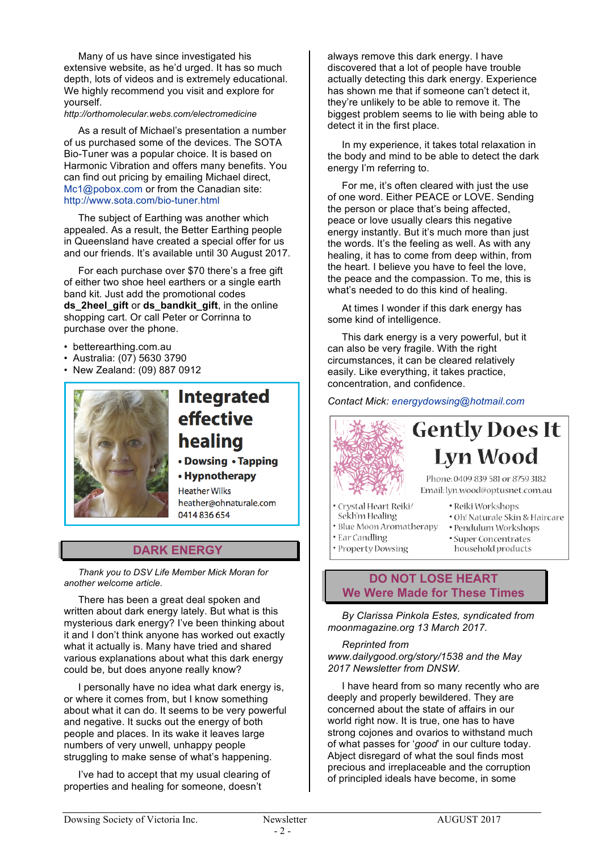Many of us have since investigated his extensive website, as he'd urged. It has so much depth, lots of videos and is extremely educational. We highly recommend you visit and explore for yourself.

#### *http://orthomolecular.webs.com/electromedicine*

As a result of Michael's presentation a number of us purchased some of the devices. The SOTA Bio-Tuner was a popular choice. It is based on Harmonic Vibration and offers many benefits. You can find out pricing by emailing Michael direct, Mc1@pobox.com or from the Canadian site: http://www.sota.com/bio-tuner.html

The subject of Earthing was another which appealed. As a result, the Better Earthing people in Queensland have created a special offer for us and our friends. It's available until 30 August 2017.

For each purchase over \$70 there's a free gift of either two shoe heel earthers or a single earth band kit. Just add the promotional codes **ds\_2heel\_gift** or **ds\_bandkit\_gift**, in the online shopping cart. Or call Peter or Corrinna to purchase over the phone.

- betterearthing.com.au
- Australia: (07) 5630 3790
- New Zealand: (09) 887 0912



## **Integrated** effective healing

• Dowsing • Tapping

• Hypnotherapy **Heather Wilks** heather@ohnaturale.com

0414836654

### **DARK ENERGY**

*Thank you to DSV Life Member Mick Moran for another welcome article.*

There has been a great deal spoken and written about dark energy lately. But what is this mysterious dark energy? I've been thinking about it and I don't think anyone has worked out exactly what it actually is. Many have tried and shared various explanations about what this dark energy could be, but does anyone really know?

I personally have no idea what dark energy is, or where it comes from, but I know something about what it can do. It seems to be very powerful and negative. It sucks out the energy of both people and places. In its wake it leaves large numbers of very unwell, unhappy people struggling to make sense of what's happening.

I've had to accept that my usual clearing of properties and healing for someone, doesn't

always remove this dark energy. I have discovered that a lot of people have trouble actually detecting this dark energy. Experience has shown me that if someone can't detect it, they're unlikely to be able to remove it. The biggest problem seems to lie with being able to detect it in the first place.

In my experience, it takes total relaxation in the body and mind to be able to detect the dark energy I'm referring to.

For me, it's often cleared with just the use of one word. Either PEACE or LOVE. Sending the person or place that's being affected, peace or love usually clears this negative energy instantly. But it's much more than just the words. It's the feeling as well. As with any healing, it has to come from deep within, from the heart. I believe you have to feel the love, the peace and the compassion. To me, this is what's needed to do this kind of healing.

At times I wonder if this dark energy has some kind of intelligence.

This dark energy is a very powerful, but it can also be very fragile. With the right circumstances, it can be cleared relatively easily. Like everything, it takes practice, concentration, and confidence.

*Contact Mick: energydowsing@hotmail.com*



# **Gently Does It Lyn Wood**

Phone: 0409 839 581 or 8759 3182 Email: lyn.wood@optusnet.com.au

- · Crystal Heart Reiki/ Sekh'm Healing
- · Oh! Naturale Skin & Haircare
- · Blue Moon Aromatherapy
- Ear Candling
	-
- 
- · Pendulum Workshops

· Reiki Workshops

- · Super Concentrates household products
- Property Dowsing

### **DO NOT LOSE HEART We Were Made for These Times**

*By Clarissa Pinkola Estes, syndicated from moonmagazine.org 13 March 2017.* 

*Reprinted from www.dailygood.org/story/1538 and the May 2017 Newsletter from DNSW.*

I have heard from so many recently who are deeply and properly bewildered. They are concerned about the state of affairs in our world right now. It is true, one has to have strong cojones and ovarios to withstand much of what passes for '*good*' in our culture today. Abject disregard of what the soul finds most precious and irreplaceable and the corruption of principled ideals have become, in some